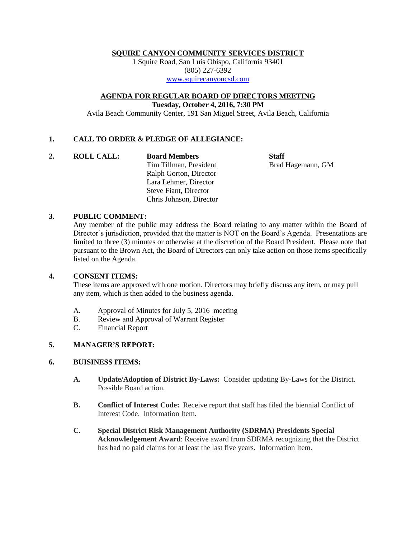#### **SQUIRE CANYON COMMUNITY SERVICES DISTRICT**

1 Squire Road, San Luis Obispo, California 93401 (805) 227-6392 [www.squirecanyoncsd.com](http://www.squirecanyoncsd.com/)

**AGENDA FOR REGULAR BOARD OF DIRECTORS MEETING**

**Tuesday, October 4, 2016, 7:30 PM**

Avila Beach Community Center, 191 San Miguel Street, Avila Beach, California

## **1. CALL TO ORDER & PLEDGE OF ALLEGIANCE:**

**2. ROLL CALL: Board Members Staff**

Tim Tillman, President Brad Hagemann, GM Ralph Gorton, Director Lara Lehmer, Director Steve Fiant, Director Chris Johnson, Director

### **3. PUBLIC COMMENT:**

Any member of the public may address the Board relating to any matter within the Board of Director's jurisdiction, provided that the matter is NOT on the Board's Agenda. Presentations are limited to three (3) minutes or otherwise at the discretion of the Board President. Please note that pursuant to the Brown Act, the Board of Directors can only take action on those items specifically listed on the Agenda.

### **4. CONSENT ITEMS:**

These items are approved with one motion. Directors may briefly discuss any item, or may pull any item, which is then added to the business agenda.

- A. Approval of Minutes for July 5, 2016 meeting
- B. Review and Approval of Warrant Register
- C. Financial Report

# **5. MANAGER'S REPORT:**

### **6. BUISINESS ITEMS:**

- **A. Update/Adoption of District By-Laws:** Consider updating By-Laws for the District. Possible Board action.
- **B. Conflict of Interest Code:** Receive report that staff has filed the biennial Conflict of Interest Code. Information Item.
- **C. Special District Risk Management Authority (SDRMA) Presidents Special Acknowledgement Award**: Receive award from SDRMA recognizing that the District has had no paid claims for at least the last five years. Information Item.